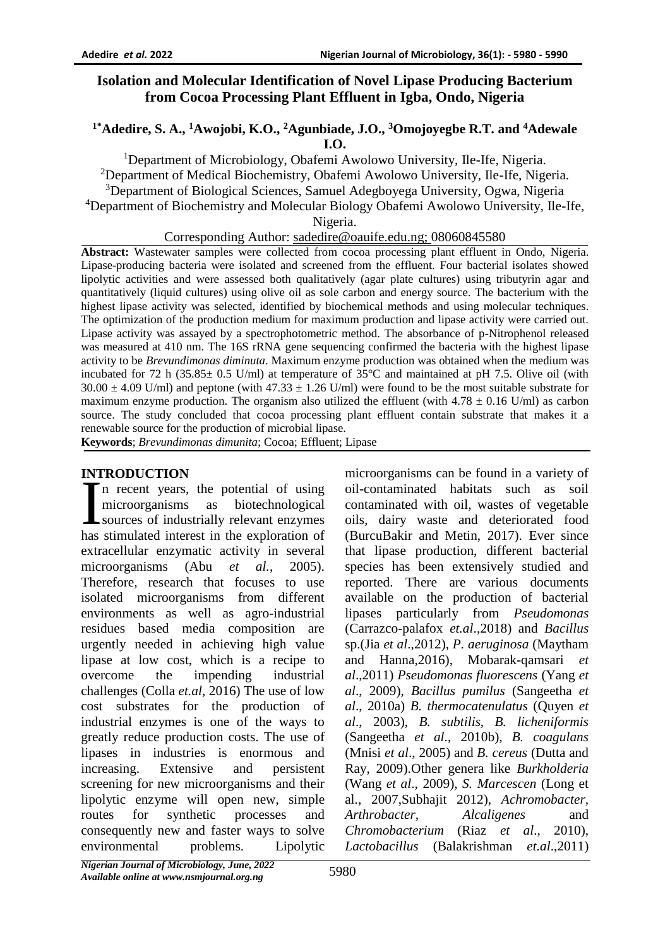# **Isolation and Molecular Identification of Novel Lipase Producing Bacterium from Cocoa Processing Plant Effluent in Igba, Ondo, Nigeria**

### **1\*Adedire, S. A., <sup>1</sup>Awojobi, K.O., <sup>2</sup>Agunbiade, J.O., <sup>3</sup>Omojoyegbe R.T. and <sup>4</sup>Adewale I.O.**

<sup>1</sup>Department of Microbiology, Obafemi Awolowo University, Ile-Ife, Nigeria. <sup>2</sup>Department of Medical Biochemistry, Obafemi Awolowo University, Ile-Ife, Nigeria. <sup>3</sup>Department of Biological Sciences, Samuel Adegboyega University, Ogwa, Nigeria <sup>4</sup>Department of Biochemistry and Molecular Biology Obafemi Awolowo University, Ile-Ife, Nigeria.

Corresponding Author: [sadedire@oauife.edu.ng;](mailto:sadedire@oauife.edu.ng) 08060845580

**Abstract:** Wastewater samples were collected from cocoa processing plant effluent in Ondo, Nigeria. Lipase-producing bacteria were isolated and screened from the effluent. Four bacterial isolates showed lipolytic activities and were assessed both qualitatively (agar plate cultures) using tributyrin agar and quantitatively (liquid cultures) using olive oil as sole carbon and energy source. The bacterium with the highest lipase activity was selected, identified by biochemical methods and using molecular techniques. The optimization of the production medium for maximum production and lipase activity were carried out. Lipase activity was assayed by a spectrophotometric method. The absorbance of p-Nitrophenol released was measured at 410 nm. The 16S rRNA gene sequencing confirmed the bacteria with the highest lipase activity to be *Brevundimonas diminuta*. Maximum enzyme production was obtained when the medium was incubated for 72 h (35.85± 0.5 U/ml) at temperature of 35°C and maintained at pH 7.5. Olive oil (with  $30.00 \pm 4.09$  U/ml) and peptone (with  $47.33 \pm 1.26$  U/ml) were found to be the most suitable substrate for maximum enzyme production. The organism also utilized the effluent (with  $4.78 \pm 0.16$  U/ml) as carbon source. The study concluded that cocoa processing plant effluent contain substrate that makes it a renewable source for the production of microbial lipase.

**Keywords**; *Brevundimonas dimunita*; Cocoa; Effluent; Lipase

### **INTRODUCTION**

n recent years, the potential of using microorganisms as biotechnological sources of industrially relevant enzymes INTRODUCTION<br>
In recent years, the potential of using<br>
microorganisms as biotechnological<br>
sources of industrially relevant enzymes<br>
has stimulated interest in the exploration of extracellular enzymatic activity in several microorganisms (Abu *et al.*, 2005). Therefore, research that focuses to use isolated microorganisms from different environments as well as agro-industrial residues based media composition are urgently needed in achieving high value lipase at low cost, which is a recipe to overcome the impending industrial challenges (Colla *et.al*, 2016) The use of low cost substrates for the production of industrial enzymes is one of the ways to greatly reduce production costs. The use of lipases in industries is enormous and increasing. Extensive and persistent screening for new microorganisms and their lipolytic enzyme will open new, simple routes for synthetic processes and consequently new and faster ways to solve environmental problems. Lipolytic

microorganisms can be found in a variety of oil-contaminated habitats such as soil contaminated with oil, wastes of vegetable oils, dairy waste and deteriorated food (BurcuBakir and Metin, 2017). Ever since that lipase production, different bacterial species has been extensively studied and reported. There are various documents available on the production of bacterial lipases particularly from *Pseudomonas* (Carrazco-palafox *et.al*.,2018) and *Bacillus* sp.(Jia *et al*.,2012), *P. aeruginosa* (Maytham and Hanna,2016), Mobarak-qamsari *et al*.,2011) *Pseudomonas fluorescens* [\(Yang](http://scialert.net/fulltext/?doi=jm.2011.1.24&org=10#567100_ja) *et al*[., 2009\)](http://scialert.net/fulltext/?doi=jm.2011.1.24&org=10#567100_ja), *Bacillus pumilus* [\(Sangeetha](http://scialert.net/fulltext/?doi=jm.2011.1.24&org=10#566897_ja) *et al*[., 2010a\)](http://scialert.net/fulltext/?doi=jm.2011.1.24&org=10#566897_ja) *B. thermocatenulatus* [\(Quyen](http://scialert.net/fulltext/?doi=jm.2011.1.24&org=10#566862_ja) *et al*[., 2003\)](http://scialert.net/fulltext/?doi=jm.2011.1.24&org=10#566862_ja), *B. subtilis, B. licheniformis* [\(Sangeetha](http://scialert.net/fulltext/?doi=jm.2011.1.24&org=10#566899_ja) *et al*., 2010b), *B. coagulans*  (Mnisi *et al*[., 2005\)](http://scialert.net/fulltext/?doi=jm.2011.1.24&org=10#129974_ja) and *B. cereus* [\(Dutta and](http://scialert.net/fulltext/?doi=jm.2011.1.24&org=10#566689_ja)  [Ray, 2009\)](http://scialert.net/fulltext/?doi=jm.2011.1.24&org=10#566689_ja).Other genera like *Burkholderia* (Wang *et al*[., 2009\)](http://scialert.net/fulltext/?doi=jm.2011.1.24&org=10#567041_ja), *S. Marcescen* (Long et al., 2007,Subhajit 2012), *Achromobacter, Arthrobacter, Alcaligenes* and *Chromobacterium* (Riaz *et al*[., 2010\)](http://scialert.net/fulltext/?doi=jm.2011.1.24&org=10#566877_ja), *Lactobacillus* (Balakrishman *et.al*.,2011)

*Nigerian Journal of Microbiology, June, 2022 Available online at www.nsmjournal.org.ng*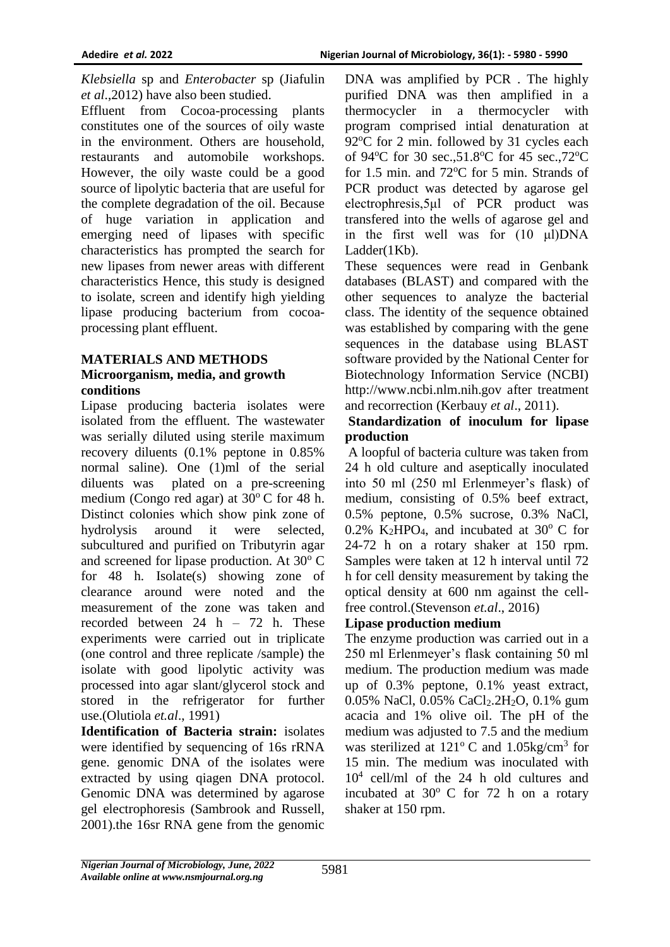*Klebsiella* sp and *Enterobacter* sp (Jiafulin *et al*.,2012) have also been studied.

Effluent from Cocoa-processing plants constitutes one of the sources of oily waste in the environment. Others are household, restaurants and automobile workshops. However, the oily waste could be a good source of lipolytic bacteria that are useful for the complete degradation of the oil. Because of huge variation in application and emerging need of lipases with specific characteristics has prompted the search for new lipases from newer areas with different characteristics Hence, this study is designed to isolate, screen and identify high yielding lipase producing bacterium from cocoaprocessing plant effluent.

## **MATERIALS AND METHODS Microorganism, media, and growth conditions**

Lipase producing bacteria isolates were isolated from the effluent. The wastewater was serially diluted using sterile maximum recovery diluents (0.1% peptone in 0.85% normal saline). One (1)ml of the serial diluents was plated on a pre-screening medium (Congo red agar) at  $30^{\circ}$ C for 48 h. Distinct colonies which show pink zone of hydrolysis around it were selected, subcultured and purified on Tributyrin agar and screened for lipase production. At  $30^{\circ}$  C for 48 h. Isolate(s) showing zone of clearance around were noted and the measurement of the zone was taken and recorded between 24 h – 72 h. These experiments were carried out in triplicate (one control and three replicate /sample) the isolate with good lipolytic activity was processed into agar slant/glycerol stock and stored in the refrigerator for further use.(Olutiola *et.al*., 1991)

**Identification of Bacteria strain:** isolates were identified by sequencing of 16s rRNA gene. genomic DNA of the isolates were extracted by using qiagen DNA protocol. Genomic DNA was determined by agarose gel electrophoresis (Sambrook and Russell, 2001).the 16sr RNA gene from the genomic

DNA was amplified by PCR . The highly purified DNA was then amplified in a thermocycler in a thermocycler with program comprised intial denaturation at  $92^{\circ}$ C for 2 min. followed by 31 cycles each of 94 $\rm{^{\circ}C}$  for 30 sec.,51.8 $\rm{^{\circ}C}$  for 45 sec.,72 $\rm{^{\circ}C}$ for 1.5 min. and  $72^{\circ}$ C for 5 min. Strands of PCR product was detected by agarose gel electrophresis, 5μl of PCR product was transfered into the wells of agarose gel and in the first well was for (10 μl)DNA Ladder(1Kb).

These sequences were read in Genbank databases (BLAST) and compared with the other sequences to analyze the bacterial class. The identity of the sequence obtained was established by comparing with the gene sequences in the database using BLAST software provided by the National Center for Biotechnology Information Service (NCBI) http://www.ncbi.nlm.nih.gov after treatment and recorrection (Kerbauy *et al*., 2011).

### **Standardization of inoculum for lipase production**

A loopful of bacteria culture was taken from 24 h old culture and aseptically inoculated into 50 ml (250 ml Erlenmeyer's flask) of medium, consisting of 0.5% beef extract, 0.5% peptone, 0.5% sucrose, 0.3% NaCl, 0.2% K<sub>2</sub>HPO<sub>4</sub>, and incubated at  $30^{\circ}$  C for 24-72 h on a rotary shaker at 150 rpm. Samples were taken at 12 h interval until 72 h for cell density measurement by taking the optical density at 600 nm against the cellfree control.(Stevenson *et.al*., 2016)

# **Lipase production medium**

The enzyme production was carried out in a 250 ml Erlenmeyer's flask containing 50 ml medium. The production medium was made up of 0.3% peptone, 0.1% yeast extract, 0.05% NaCl, 0.05% CaCl<sub>2</sub>.2H<sub>2</sub>O, 0.1% gum acacia and 1% olive oil. The pH of the medium was adjusted to 7.5 and the medium was sterilized at  $121^{\circ}$  C and  $1.05$ kg/cm<sup>3</sup> for 15 min. The medium was inoculated with 10<sup>4</sup> cell/ml of the 24 h old cultures and incubated at  $30^{\circ}$  C for 72 h on a rotary shaker at 150 rpm.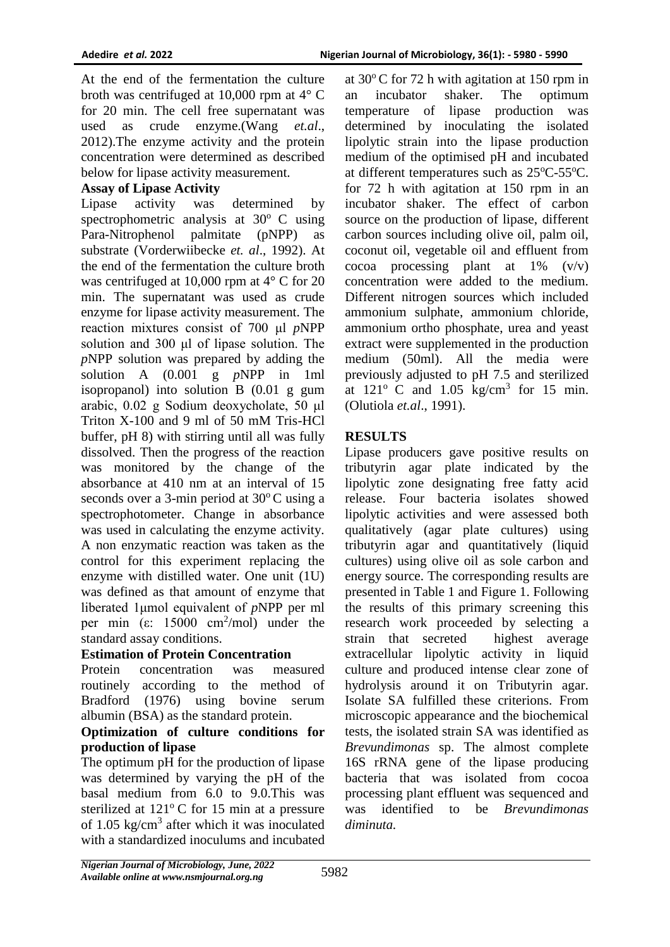At the end of the fermentation the culture broth was centrifuged at 10,000 rpm at 4° C for 20 min. The cell free supernatant was used as crude enzyme.(Wang *et.al*., 2012).The enzyme activity and the protein concentration were determined as described below for lipase activity measurement.

## **Assay of Lipase Activity**

Lipase activity was determined by spectrophometric analysis at  $30^{\circ}$  C using Para-Nitrophenol palmitate (pNPP) as substrate (Vorderwiibecke *et. al*., 1992). At the end of the fermentation the culture broth was centrifuged at 10,000 rpm at 4° C for 20 min. The supernatant was used as crude enzyme for lipase activity measurement. The reaction mixtures consist of 700 μl *p*NPP solution and 300 μl of lipase solution. The *p*NPP solution was prepared by adding the solution A (0.001 g *p*NPP in 1ml isopropanol) into solution B (0.01 g gum arabic, 0.02 g Sodium deoxycholate, 50 μl Triton X-100 and 9 ml of 50 mM Tris-HCl buffer, pH 8) with stirring until all was fully dissolved. Then the progress of the reaction was monitored by the change of the absorbance at 410 nm at an interval of 15 seconds over a 3-min period at  $30^{\circ}$ C using a spectrophotometer. Change in absorbance was used in calculating the enzyme activity. A non enzymatic reaction was taken as the control for this experiment replacing the enzyme with distilled water. One unit (1U) was defined as that amount of enzyme that liberated 1μmol equivalent of *p*NPP per ml per min (ε:  $15000 \text{ cm}^2/\text{mol}$ ) under the standard assay conditions.

### **Estimation of Protein Concentration**

Protein concentration was measured routinely according to the method of Bradford (1976) using bovine serum albumin (BSA) as the standard protein.

#### **Optimization of culture conditions for production of lipase**

The optimum pH for the production of lipase was determined by varying the pH of the basal medium from 6.0 to 9.0.This was sterilized at  $121^{\circ}$ C for 15 min at a pressure of 1.05 kg/cm<sup>3</sup> after which it was inoculated with a standardized inoculums and incubated

at  $30^{\circ}$ C for 72 h with agitation at 150 rpm in an incubator shaker. The optimum temperature of lipase production was determined by inoculating the isolated lipolytic strain into the lipase production medium of the optimised pH and incubated at different temperatures such as  $25^{\circ}$ C-55<sup>o</sup>C. for 72 h with agitation at 150 rpm in an incubator shaker. The effect of carbon source on the production of lipase, different carbon sources including olive oil, palm oil, coconut oil, vegetable oil and effluent from cocoa processing plant at  $1\%$  (v/v) concentration were added to the medium. Different nitrogen sources which included ammonium sulphate, ammonium chloride, ammonium ortho phosphate, urea and yeast extract were supplemented in the production medium (50ml). All the media were previously adjusted to pH 7.5 and sterilized at  $121^{\circ}$  C and  $1.05$  kg/cm<sup>3</sup> for 15 min. (Olutiola *et.al*., 1991).

# **RESULTS**

Lipase producers gave positive results on tributyrin agar plate indicated by the lipolytic zone designating free fatty acid release. Four bacteria isolates showed lipolytic activities and were assessed both qualitatively (agar plate cultures) using tributyrin agar and quantitatively (liquid cultures) using olive oil as sole carbon and energy source. The corresponding results are presented in Table 1 and Figure 1. Following the results of this primary screening this research work proceeded by selecting a strain that secreted highest average extracellular lipolytic activity in liquid culture and produced intense clear zone of hydrolysis around it on Tributyrin agar. Isolate SA fulfilled these criterions. From microscopic appearance and the biochemical tests, the isolated strain SA was identified as *Brevundimonas* sp. The almost complete 16S rRNA gene of the lipase producing bacteria that was isolated from cocoa processing plant effluent was sequenced and was identified to be *Brevundimonas diminuta.*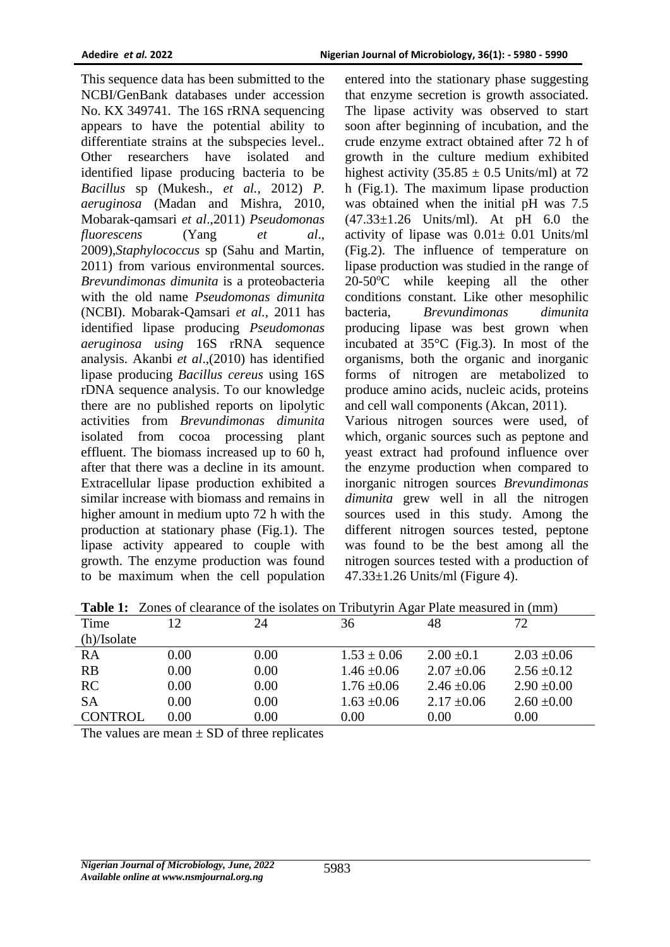This sequence data has been submitted to the NCBI/GenBank databases under accession No. KX 349741. The 16S rRNA sequencing appears to have the potential ability to differentiate strains at the subspecies level.. Other researchers have isolated and identified lipase producing bacteria to be *Bacillus* sp (Mukesh., *et al.,* 2012) *P. aeruginosa* [\(Madan and Mishra, 2010,](http://scialert.net/fulltext/?doi=jm.2011.1.24&org=10#566819_ja) Mobarak-qamsari *et al*.,2011) *Pseudomonas fluorescens* (Yang *[et al](http://scialert.net/fulltext/?doi=jm.2011.1.24&org=10#567100_ja)*., [2009\)](http://scialert.net/fulltext/?doi=jm.2011.1.24&org=10#567100_ja),*Staphylococcus* sp (Sahu and Martin, 2011) from various environmental sources. *Brevundimonas dimunita* is a proteobacteria with the old name *Pseudomonas dimunita* (NCBI). Mobarak-Qamsari *et al.,* 2011 has identified lipase producing *Pseudomonas aeruginosa using* 16S rRNA sequence analysis. Akanbi *et al*.,(2010) has identified lipase producing *Bacillus cereus* using 16S rDNA sequence analysis. To our knowledge there are no published reports on lipolytic activities from *Brevundimonas dimunita* isolated from cocoa processing plant effluent. The biomass increased up to 60 h, after that there was a decline in its amount. Extracellular lipase production exhibited a similar increase with biomass and remains in higher amount in medium upto 72 h with the production at stationary phase (Fig.1). The lipase activity appeared to couple with growth. The enzyme production was found to be maximum when the cell population

entered into the stationary phase suggesting that enzyme secretion is growth associated. The lipase activity was observed to start soon after beginning of incubation, and the crude enzyme extract obtained after 72 h of growth in the culture medium exhibited highest activity  $(35.85 \pm 0.5 \text{ Units/ml})$  at 72 h (Fig.1). The maximum lipase production was obtained when the initial pH was 7.5  $(47.33 \pm 1.26 \text{ Units/ml})$ . At pH 6.0 the activity of lipase was  $0.01 \pm 0.01$  Units/ml (Fig.2). The influence of temperature on lipase production was studied in the range of  $20-50$ <sup>o</sup>C while keeping all the other conditions constant. Like other mesophilic bacteria, *Brevundimonas dimunita* producing lipase was best grown when incubated at 35°C (Fig.3). In most of the organisms, both the organic and inorganic forms of nitrogen are metabolized to produce amino acids, nucleic acids, proteins and cell wall components (Akcan, 2011).

Various nitrogen sources were used, of which, organic sources such as peptone and yeast extract had profound influence over the enzyme production when compared to inorganic nitrogen sources *Brevundimonas dimunita* grew well in all the nitrogen sources used in this study. Among the different nitrogen sources tested, peptone was found to be the best among all the nitrogen sources tested with a production of 47.33±1.26 Units/ml (Figure 4).

| Time           | 12   | 24   | 36              | 48              | 72              |
|----------------|------|------|-----------------|-----------------|-----------------|
| $(h)/I$ solate |      |      |                 |                 |                 |
| RA             | 0.00 | 0.00 | $1.53 \pm 0.06$ | $2.00 \pm 0.1$  | $2.03 \pm 0.06$ |
| RB             | 0.00 | 0.00 | $1.46 \pm 0.06$ | $2.07 \pm 0.06$ | $2.56 \pm 0.12$ |
| RC             | 0.00 | 0.00 | $1.76 \pm 0.06$ | $2.46 \pm 0.06$ | $2.90 \pm 0.00$ |
| <b>SA</b>      | 0.00 | 0.00 | $1.63 \pm 0.06$ | $2.17 \pm 0.06$ | $2.60 \pm 0.00$ |
| <b>CONTROL</b> | 0.00 | 0.00 | 0.00            | 0.00            | 0.00            |

**Table 1:** Zones of clearance of the isolates on Tributyrin Agar Plate measured in (mm)

The values are mean  $\pm$  SD of three replicates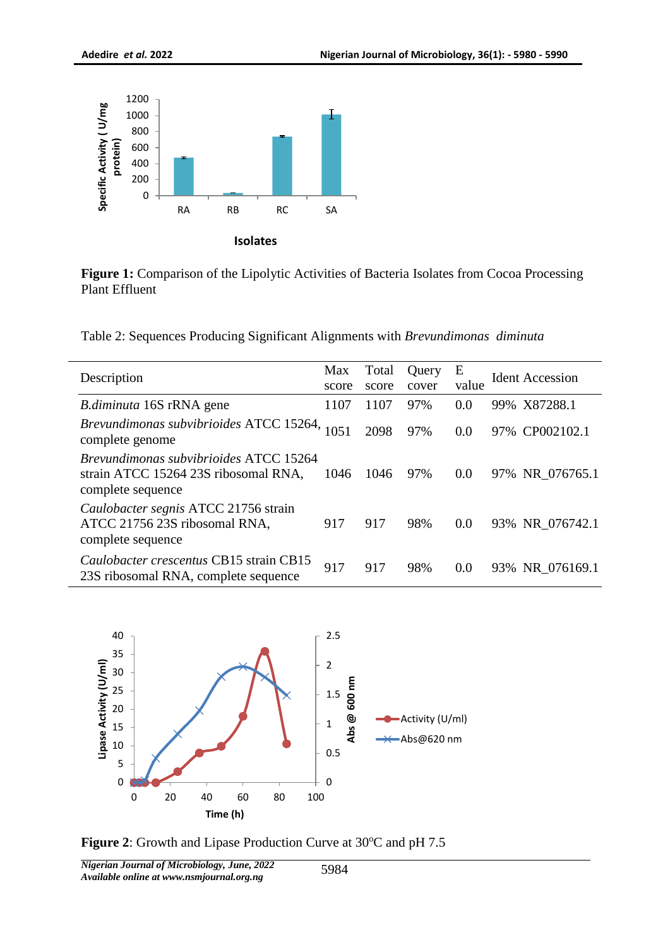

**Figure 1:** Comparison of the Lipolytic Activities of Bacteria Isolates from Cocoa Processing Plant Effluent

Table 2: Sequences Producing Significant Alignments with *Brevundimonas diminuta*

| Description                                                                                         | Max<br>score | Total<br>score | Query<br>cover | Ε<br>value | <b>Ident Accession</b> |
|-----------------------------------------------------------------------------------------------------|--------------|----------------|----------------|------------|------------------------|
| <i>B.diminuta</i> 16S rRNA gene                                                                     | 1107         | 1107           | 97%            | 0.0        | 99% X87288.1           |
| Brevundimonas subvibrioides ATCC 15264,<br>complete genome                                          | 1051         | 2098           | 97%            | 0.0        | 97% CP002102.1         |
| Brevundimonas subvibrioides ATCC 15264<br>strain ATCC 15264 23S ribosomal RNA,<br>complete sequence | 1046         | 1046           | 97%            | 0.0        | 97% NR 076765.1        |
| Caulobacter segnis ATCC 21756 strain<br>ATCC 21756 23S ribosomal RNA,<br>complete sequence          | 917          | 917            | 98%            | 0.0        | 93% NR_076742.1        |
| Caulobacter crescentus CB15 strain CB15<br>23S ribosomal RNA, complete sequence                     | 917          | 917            | 98%            | 0.0        | 93% NR 076169.1        |



**Figure 2**: Growth and Lipase Production Curve at 30°C and pH 7.5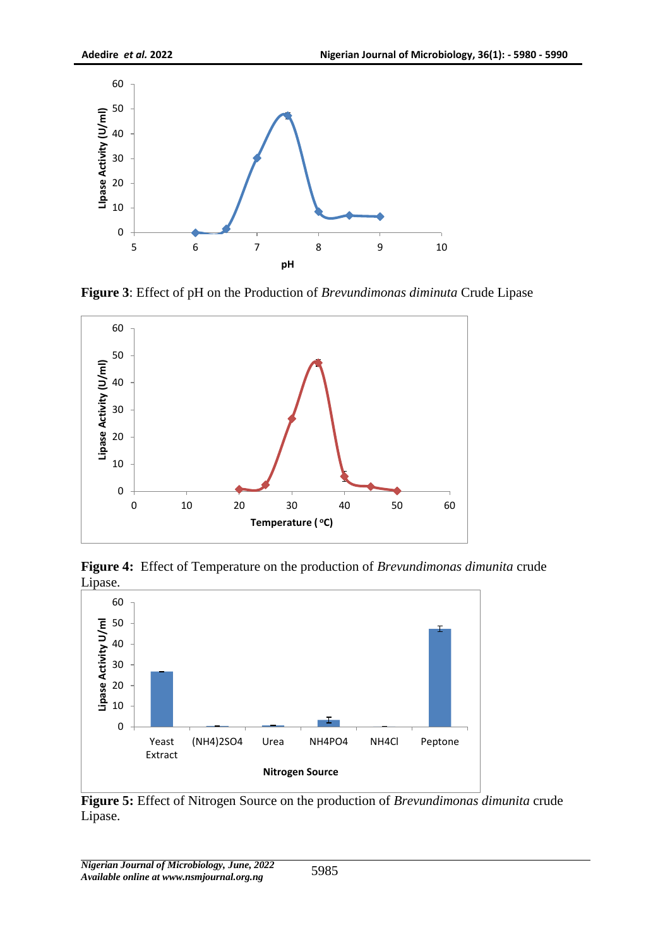

**Figure 3**: Effect of pH on the Production of *Brevundimonas diminuta* Crude Lipase



**Figure 4:** Effect of Temperature on the production of *Brevundimonas dimunita* crude Lipase.



**Figure 5:** Effect of Nitrogen Source on the production of *Brevundimonas dimunita* crude Lipase.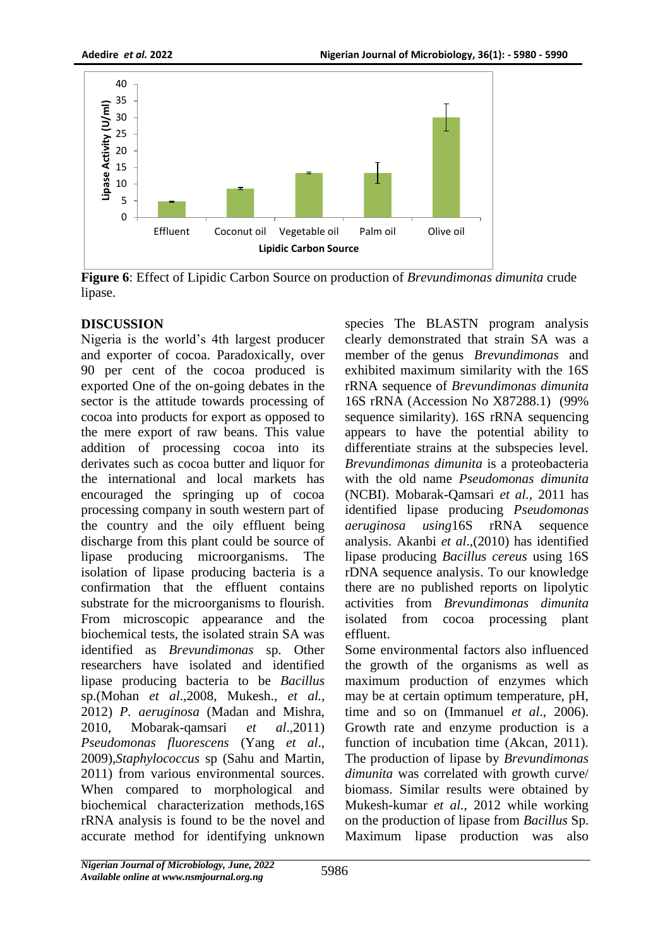

**Figure 6**: Effect of Lipidic Carbon Source on production of *Brevundimonas dimunita* crude lipase.

## **DISCUSSION**

Nigeria is the world's 4th largest producer and exporter of cocoa. Paradoxically, over 90 per cent of the cocoa produced is exported One of the on-going debates in the sector is the attitude towards processing of cocoa into products for export as opposed to the mere export of raw beans. This value addition of processing cocoa into its derivates such as cocoa butter and liquor for the international and local markets has encouraged the springing up of cocoa processing company in south western part of the country and the oily effluent being discharge from this plant could be source of lipase producing microorganisms. The isolation of lipase producing bacteria is a confirmation that the effluent contains substrate for the microorganisms to flourish. From microscopic appearance and the biochemical tests, the isolated strain SA was identified as *Brevundimonas* sp. Other researchers have isolated and identified lipase producing bacteria to be *Bacillus* sp.(Mohan *et al*.,2008, Mukesh., *et al.,*  2012) *P. aeruginosa* [\(Madan and Mishra,](http://scialert.net/fulltext/?doi=jm.2011.1.24&org=10#566819_ja)  [2010,](http://scialert.net/fulltext/?doi=jm.2011.1.24&org=10#566819_ja) Mobarak-qamsari *et al*.,2011) *Pseudomonas fluorescens* [\(Yang](http://scialert.net/fulltext/?doi=jm.2011.1.24&org=10#567100_ja) *et al*., [2009\)](http://scialert.net/fulltext/?doi=jm.2011.1.24&org=10#567100_ja),*Staphylococcus* sp (Sahu and Martin, 2011) from various environmental sources. When compared to morphological and biochemical characterization methods,16S rRNA analysis is found to be the novel and accurate method for identifying unknown

species The BLASTN program analysis clearly demonstrated that strain SA was a member of the genus *Brevundimonas* and exhibited maximum similarity with the 16S rRNA sequence of *Brevundimonas dimunita* 16S rRNA (Accession No X87288.1) (99% sequence similarity). 16S rRNA sequencing appears to have the potential ability to differentiate strains at the subspecies level. *Brevundimonas dimunita* is a proteobacteria with the old name *Pseudomonas dimunita* (NCBI). Mobarak-Qamsari *et al.,* 2011 has identified lipase producing *Pseudomonas aeruginosa using*16S rRNA sequence analysis. Akanbi *et al*.,(2010) has identified lipase producing *Bacillus cereus* using 16S rDNA sequence analysis. To our knowledge there are no published reports on lipolytic activities from *Brevundimonas dimunita* isolated from cocoa processing plant effluent.

Some environmental factors also influenced the growth of the organisms as well as maximum production of enzymes which may be at certain optimum temperature, pH, time and so on (Immanuel *et al*., 2006). Growth rate and enzyme production is a function of incubation time (Akcan, 2011). The production of lipase by *Brevundimonas dimunita* was correlated with growth curve/ biomass. Similar results were obtained by Mukesh-kumar *et al.*, 2012 while working on the production of lipase from *Bacillus* Sp. Maximum lipase production was also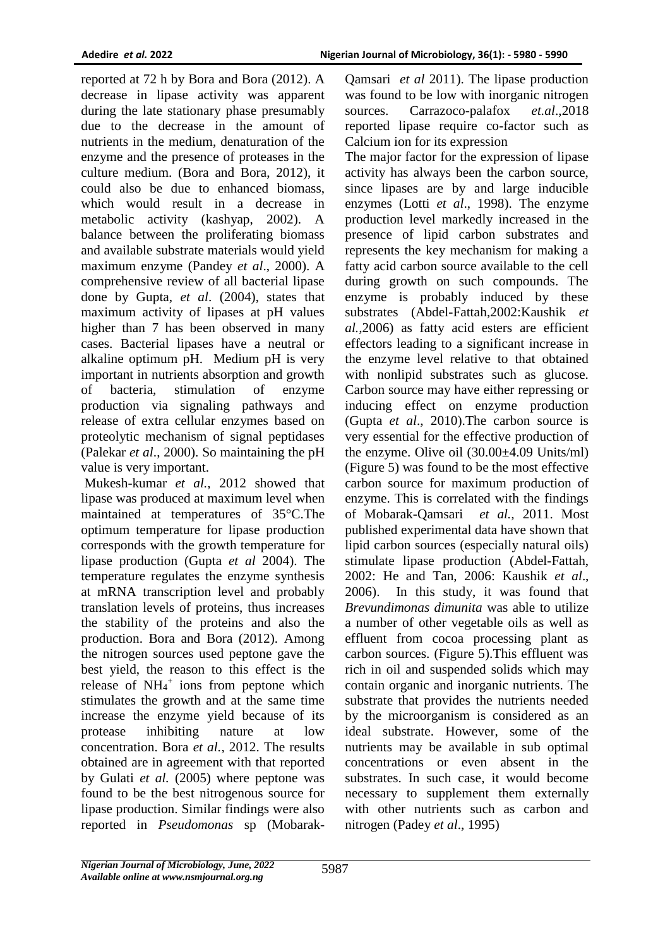reported at 72 h by Bora and Bora (2012). A decrease in lipase activity was apparent during the late stationary phase presumably due to the decrease in the amount of nutrients in the medium, denaturation of the enzyme and the presence of proteases in the culture medium. (Bora and Bora, 2012), it could also be due to enhanced biomass, which would result in a decrease in metabolic activity (kashyap, 2002). A balance between the proliferating biomass and available substrate materials would yield maximum enzyme (Pandey *et al*., 2000). A comprehensive review of all bacterial lipase done by Gupta, *et al*. (2004), states that maximum activity of lipases at pH values higher than 7 has been observed in many cases. Bacterial lipases have a neutral or alkaline optimum pH. Medium pH is very important in nutrients absorption and growth of bacteria, stimulation of enzyme production via signaling pathways and release of extra cellular enzymes based on proteolytic mechanism of signal peptidases (Palekar *et al*., 2000). So maintaining the pH value is very important.

Mukesh-kumar *et al.*, 2012 showed that lipase was produced at maximum level when maintained at temperatures of 35°C.The optimum temperature for lipase production corresponds with the growth temperature for lipase production (Gupta *et al* 2004). The temperature regulates the enzyme synthesis at mRNA transcription level and probably translation levels of proteins, thus increases the stability of the proteins and also the production. Bora and Bora (2012). Among the nitrogen sources used peptone gave the best yield, the reason to this effect is the release of  $NH_4^+$  ions from peptone which stimulates the growth and at the same time increase the enzyme yield because of its protease inhibiting nature at low concentration. Bora *et al.*, 2012. The results obtained are in agreement with that reported by Gulati *et al.* (2005) where peptone was found to be the best nitrogenous source for lipase production. Similar findings were also reported in *Pseudomonas* sp (Mobarak-

Qamsari *et al* 2011). The lipase production was found to be low with inorganic nitrogen sources. Carrazoco-palafox *et.al*.,2018 reported lipase require co-factor such as Calcium ion for its expression

The major factor for the expression of lipase activity has always been the carbon source, since lipases are by and large inducible enzymes (Lotti *et al*., 1998). The enzyme production level markedly increased in the presence of lipid carbon substrates and represents the key mechanism for making a fatty acid carbon source available to the cell during growth on such compounds. The enzyme is probably induced by these substrates (Abdel-Fattah,2002:Kaushik *et al.,*2006) as fatty acid esters are efficient effectors leading to a significant increase in the enzyme level relative to that obtained with nonlipid substrates such as glucose. Carbon source may have either repressing or inducing effect on enzyme production (Gupta *et al*., 2010).The carbon source is very essential for the effective production of the enzyme. Olive oil (30.00±4.09 Units/ml) (Figure 5) was found to be the most effective carbon source for maximum production of enzyme. This is correlated with the findings of Mobarak-Qamsari *et al.,* 2011. Most published experimental data have shown that lipid carbon sources (especially natural oils) stimulate lipase production (Abdel-Fattah, 2002: He and Tan, 2006: Kaushik *et al*., 2006). In this study, it was found that *Brevundimonas dimunita* was able to utilize a number of other vegetable oils as well as effluent from cocoa processing plant as carbon sources. (Figure 5).This effluent was rich in oil and suspended solids which may contain organic and inorganic nutrients. The substrate that provides the nutrients needed by the microorganism is considered as an ideal substrate. However, some of the nutrients may be available in sub optimal concentrations or even absent in the substrates. In such case, it would become necessary to supplement them externally with other nutrients such as carbon and nitrogen (Padey *et al*., 1995)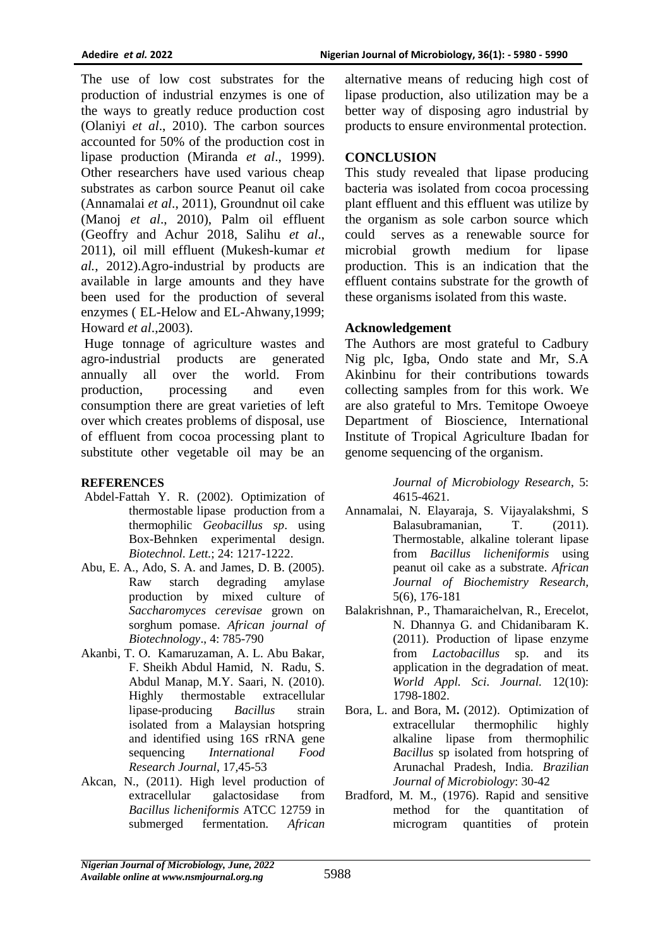The use of low cost substrates for the production of industrial enzymes is one of the ways to greatly reduce production cost (Olaniyi *et al*., 2010). The carbon sources accounted for 50% of the production cost in lipase production (Miranda *et al*., 1999). Other researchers have used various cheap substrates as carbon source Peanut oil cake (Annamalai *et al*., 2011), Groundnut oil cake (Manoj *et al*., 2010), Palm oil effluent (Geoffry and Achur 2018, Salihu *et al*., 2011), oil mill effluent (Mukesh-kumar *et al.*, 2012).Agro-industrial by products are available in large amounts and they have been used for the production of several enzymes ( EL-Helow and EL-Ahwany,1999; Howard *et al*.,2003).

Huge tonnage of agriculture wastes and agro-industrial products are generated annually all over the world. From production, processing and even consumption there are great varieties of left over which creates problems of disposal, use of effluent from cocoa processing plant to substitute other vegetable oil may be an

#### **REFERENCES**

- Abdel-Fattah Y. R. (2002). Optimization of thermostable lipase production from a thermophilic *Geobacillus sp*. using Box-Behnken experimental design. *Biotechnol. Lett.*; 24: 1217-1222.
- Abu, E. A., Ado, S. A. and James, D. B. (2005). Raw starch degrading amylase production by mixed culture of *Saccharomyces cerevisae* grown on sorghum pomase. *African journal of Biotechnology*., 4: 785-790
- Akanbi, T. O. Kamaruzaman, A. L. Abu Bakar, F. Sheikh Abdul Hamid, N. Radu, S. Abdul Manap, M.Y. Saari, N. (2010). Highly thermostable extracellular lipase-producing *Bacillus* strain isolated from a Malaysian hotspring and identified using 16S rRNA gene sequencing *International Food Research Journal*, 17,45-53
- Akcan, N., (2011). High level production of extracellular galactosidase from *Bacillus licheniformis* ATCC 12759 in submerged fermentation. *African*

alternative means of reducing high cost of lipase production, also utilization may be a better way of disposing agro industrial by products to ensure environmental protection.

### **CONCLUSION**

This study revealed that lipase producing bacteria was isolated from cocoa processing plant effluent and this effluent was utilize by the organism as sole carbon source which could serves as a renewable source for microbial growth medium for lipase production. This is an indication that the effluent contains substrate for the growth of these organisms isolated from this waste.

#### **Acknowledgement**

The Authors are most grateful to Cadbury Nig plc, Igba, Ondo state and Mr, S.A Akinbinu for their contributions towards collecting samples from for this work. We are also grateful to Mrs. Temitope Owoeye Department of Bioscience, International Institute of Tropical Agriculture Ibadan for genome sequencing of the organism.

> *Journal of Microbiology Research*, 5: 4615-4621.

- Annamalai, N. Elayaraja, S. Vijayalakshmi, S Balasubramanian, T. (2011). Thermostable, alkaline tolerant lipase from *Bacillus licheniformis* using peanut oil cake as a substrate. *African Journal of Biochemistry Research,*  5(6), 176-181
- Balakrishnan, P., Thamaraichelvan, R., Erecelot, N. Dhannya G. and Chidanibaram K. (2011). Production of lipase enzyme from *Lactobacillus* sp. and its application in the degradation of meat. *World Appl. Sci. Journal.* 12(10): 1798-1802.
- Bora, L. and Bora, M**.** (2012).Optimization of extracellular thermophilic highly alkaline lipase from thermophilic *Bacillus* sp isolated from hotspring of Arunachal Pradesh, India. *Brazilian Journal of Microbiology*: 30-42
- Bradford, M. M., (1976). Rapid and sensitive method for the quantitation of microgram quantities of protein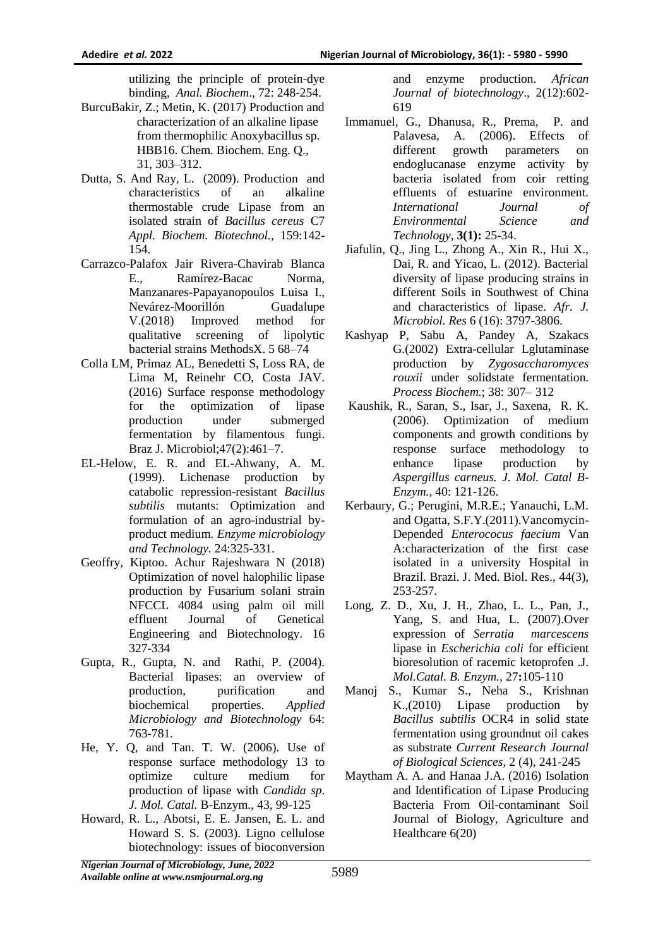utilizing the principle of protein-dye binding, *Anal. Biochem*., 72: 248-254.

- BurcuBakir, Z.; Metin, K. (2017) Production and characterization of an alkaline lipase from thermophilic Anoxybacillus sp. HBB16. Chem. Biochem. Eng. Q., 31, 303–312.
- Dutta, S. And Ray, L. (2009). Production and characteristics of an alkaline thermostable crude Lipase from an isolated strain of *Bacillus cereus* C7 *Appl. Biochem. Biotechnol.,* 159:142- 154.
- Carrazco-Palafox Jair Rivera-Chavirab Blanca E., Ramírez-Bacac Norma, Manzanares-Papayanopoulos Luisa I., Nevárez-Moorillón Guadalupe V.(2018) Improved method for qualitative screening of lipolytic bacterial strains MethodsX. 5 68–74
- Colla LM, Primaz AL, Benedetti S, Loss RA, de Lima M, Reinehr CO, Costa JAV. (2016) Surface response methodology for the optimization of lipase production under submerged fermentation by filamentous fungi. Braz J. Microbiol;47(2):461–7.
- EL-Helow, E. R. and EL-Ahwany, A. M. (1999). Lichenase production by catabolic repression-resistant *Bacillus subtilis* mutants: Optimization and formulation of an agro-industrial byproduct medium. *Enzyme microbiology and Technology.* 24:325-331.
- Geoffry, Kiptoo. Achur Rajeshwara N (2018) Optimization of novel halophilic lipase production by Fusarium solani strain NFCCL 4084 using palm oil mill effluent Journal of Genetical Engineering and Biotechnology. 16 327-334
- Gupta, R., Gupta, N. and Rathi, P. (2004). Bacterial lipases: an overview of production, purification and biochemical properties. *Applied Microbiology and Biotechnology* 64: 763-781.
- He, Y. Q, and Tan. T. W. (2006). Use of response surface methodology 13 to optimize culture medium for production of lipase with *Candida sp*. *J. Mol. Catal.* B-Enzym., 43, 99-125
- Howard, R. L., Abotsi, E. E. Jansen, E. L. and Howard S. S. (2003). Ligno cellulose biotechnology: issues of bioconversion

and enzyme production. *African Journal of biotechnology*., 2(12):602- 619

- Immanuel, G., Dhanusa, R., Prema, P. and Palavesa, A. (2006). Effects of different growth parameters on endoglucanase enzyme activity by bacteria isolated from coir retting effluents of estuarine environment*. International Journal of Environmental Science and Technology*, **3(1):** 25-34.
- Jiafulin, Q., Jing L., Zhong A., Xin R., Hui X., Dai, R. and Yicao, L. (2012). Bacterial diversity of lipase producing strains in different Soils in Southwest of China and characteristics of lipase. *Afr. J. Microbiol. Res* 6 (16): 3797-3806.
- Kashyap P, Sabu A, Pandey A, Szakacs G.(2002) Extra-cellular Lglutaminase production by *Zygosaccharomyces rouxii* under solidstate fermentation. *Process Biochem.*; 38: 307– 312
- Kaushik, R., Saran, S., Isar, J., Saxena, R. K. (2006). Optimization of medium components and growth conditions by response surface methodology to enhance lipase production by *Aspergillus carneus. J. Mol. Catal B-Enzym.,* 40: 121-126.
- Kerbaury, G.; Perugini, M.R.E.; Yanauchi, L.M. and Ogatta, S.F.Y.(2011).Vancomycin-Depended *Enterococus faecium* Van A:characterization of the first case isolated in a university Hospital in Brazil. Brazi. J. Med. Biol. Res., 44(3), 253-257.
- Long, Z. D., Xu, J. H., Zhao, L. L., Pan, J., Yang, S. and Hua, L. (2007).Over expression of *Serratia marcescens* lipase in *Escherichia coli* for efficient bioresolution of racemic ketoprofen .J. *Mol.Catal. B. Enzym.,* 27**:**105-110
- Manoj S., Kumar S., Neha S., Krishnan K.,(2010) Lipase production by *Bacillus subtilis* OCR4 in solid state fermentation using groundnut oil cakes as substrate *Current Research Journal of Biological Sciences*, 2 (4), 241-245
- Maytham A. A. and Hanaa J.A. (2016) Isolation and Identification of Lipase Producing Bacteria From Oil-contaminant Soil Journal of Biology, Agriculture and Healthcare 6(20)

*Nigerian Journal of Microbiology, June, 2022 Available online at www.nsmjournal.org.ng*